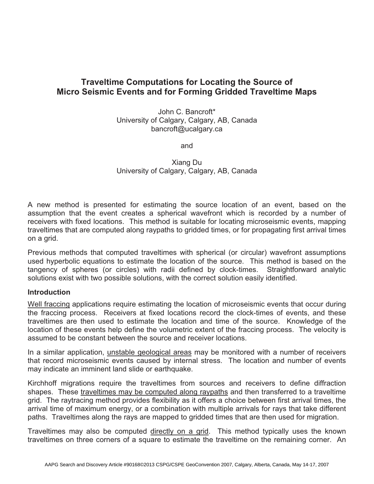# **Traveltime Computations for Locating the Source of Micro Seismic Events and for Forming Gridded Traveltime Maps**

John C. Bancroft\* University of Calgary, Calgary, AB, Canada bancroft@ucalgary.ca

and

Xiang Du University of Calgary, Calgary, AB, Canada

A new method is presented for estimating the source location of an event, based on the assumption that the event creates a spherical wavefront which is recorded by a number of receivers with fixed locations. This method is suitable for locating microseismic events, mapping traveltimes that are computed along raypaths to gridded times, or for propagating first arrival times on a grid.

Previous methods that computed traveltimes with spherical (or circular) wavefront assumptions used hyperbolic equations to estimate the location of the source. This method is based on the tangency of spheres (or circles) with radii defined by clock-times. Straightforward analytic solutions exist with two possible solutions, with the correct solution easily identified.

## **Introduction**

Well fraccing applications require estimating the location of microseismic events that occur during the fraccing process. Receivers at fixed locations record the clock-times of events, and these traveltimes are then used to estimate the location and time of the source. Knowledge of the location of these events help define the volumetric extent of the fraccing process. The velocity is assumed to be constant between the source and receiver locations.

In a similar application, unstable geological areas may be monitored with a number of receivers that record microseismic events caused by internal stress. The location and number of events may indicate an imminent land slide or earthquake.

Kirchhoff migrations require the traveltimes from sources and receivers to define diffraction shapes. These traveltimes may be computed along raypaths and then transferred to a traveltime grid. The raytracing method provides flexibility as it offers a choice between first arrival times, the arrival time of maximum energy, or a combination with multiple arrivals for rays that take different paths. Traveltimes along the rays are mapped to gridded times that are then used for migration.

Traveltimes may also be computed directly on a grid. This method typically uses the known traveltimes on three corners of a square to estimate the traveltime on the remaining corner. An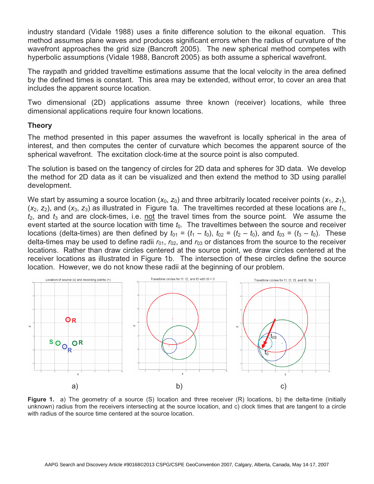industry standard (Vidale 1988) uses a finite difference solution to the eikonal equation. This method assumes plane waves and produces significant errors when the radius of curvature of the wavefront approaches the grid size (Bancroft 2005). The new spherical method competes with hyperbolic assumptions (Vidale 1988, Bancroft 2005) as both assume a spherical wavefront.

The raypath and gridded traveltime estimations assume that the local velocity in the area defined by the defined times is constant. This area may be extended, without error, to cover an area that includes the apparent source location.

Two dimensional (2D) applications assume three known (receiver) locations, while three dimensional applications require four known locations.

## **Theory**

The method presented in this paper assumes the wavefront is locally spherical in the area of interest, and then computes the center of curvature which becomes the apparent source of the spherical wavefront. The excitation clock-time at the source point is also computed.

The solution is based on the tangency of circles for 2D data and spheres for 3D data. We develop the method for 2D data as it can be visualized and then extend the method to 3D using parallel development.

We start by assuming a source location  $(x_0, z_0)$  and three arbitrarily located receiver points  $(x_1, z_1)$ ,  $(x_2, z_2)$ , and  $(x_3, z_3)$  as illustrated in Figure 1a. The traveltimes recorded at these locations are  $t_1$ , *t*2, and *t*3 and are clock-times, i.e. not the travel times from the source point. We assume the event started at the source location with time  $t<sub>0</sub>$ . The traveltimes between the source and receiver locations (delta-times) are then defined by  $t_{01} = (t_1 - t_0)$ ,  $t_{02} = (t_2 - t_0)$ , and  $t_{03} = (t_3 - t_0)$ . These delta-times may be used to define radii  $r_{01}$ ,  $r_{02}$ , and  $r_{03}$  or distances from the source to the receiver locations. Rather than draw circles centered at the source point, we draw circles centered at the receiver locations as illustrated in Figure 1b. The intersection of these circles define the source location. However, we do not know these radii at the beginning of our problem.



Figure 1. a) The geometry of a source (S) location and three receiver (R) locations, b) the delta-time (initially unknown) radius from the receivers intersecting at the source location, and c) clock times that are tangent to a circle with radius of the source time centered at the source location.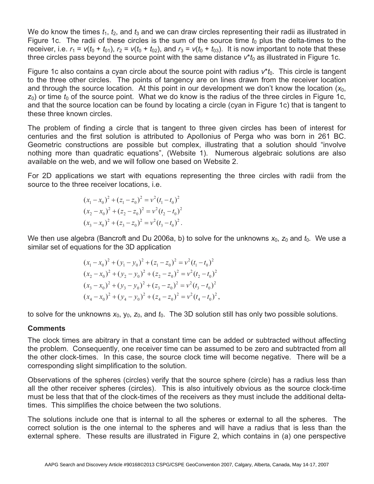We do know the times  $t_1$ ,  $t_2$ , and  $t_3$  and we can draw circles representing their radii as illustrated in Figure 1c. The radii of these circles is the sum of the source time  $t_0$  plus the delta-times to the *receiver, i.e.*  $r_1 = v(t_0 + t_{01})$ ,  $r_2 = v(t_0 + t_{02})$ , and  $r_3 = v(t_0 + t_{03})$ . It is now important to note that these three circles pass beyond the source point with the same distance  $v^*t_0$  as illustrated in Figure 1c.

Figure 1c also contains a cyan circle about the source point with radius  $v^*t_0$ . This circle is tangent to the three other circles. The points of tangency are on lines drawn from the receiver location and through the source location. At this point in our development we don't know the location (x<sub>0</sub>,  $z_0$ ) or time  $t_0$  of the source point. What we do know is the radius of the three circles in Figure 1c, and that the source location can be found by locating a circle (cyan in Figure 1c) that is tangent to these three known circles.

The problem of finding a circle that is tangent to three given circles has been of interest for centuries and the first solution is attributed to Apollonius of Perga who was born in 261 BC. Geometric constructions are possible but complex, illustrating that a solution should "involve nothing more than quadratic equations", (Website 1). Numerous algebraic solutions are also available on the web, and we will follow one based on Website 2.

For 2D applications we start with equations representing the three circles with radii from the source to the three receiver locations, i.e.

$$
(x1 - x0)2 + (z1 - z0)2 = v2(t1 - t0)2
$$
  
\n
$$
(x2 - x0)2 + (z2 - z0)2 = v2(t2 - t0)2
$$
  
\n
$$
(x3 - x0)2 + (z3 - z0)2 = v2(t3 - t0)2.
$$

We then use algebra (Bancroft and Du 2006a, b) to solve for the unknowns  $x_0$ ,  $z_0$  and  $t_0$ . We use a similar set of equations for the 3D application

$$
(x_1 - x_0)^2 + (y_1 - y_0)^2 + (z_1 - z_0)^2 = v^2 (t_1 - t_0)^2
$$
  
\n
$$
(x_2 - x_0)^2 + (y_2 - y_0)^2 + (z_2 - z_0)^2 = v^2 (t_2 - t_0)^2
$$
  
\n
$$
(x_3 - x_0)^2 + (y_3 - y_0)^2 + (z_3 - z_0)^2 = v^2 (t_3 - t_0)^2
$$
  
\n
$$
(x_4 - x_0)^2 + (y_4 - y_0)^2 + (z_4 - z_0)^2 = v^2 (t_4 - t_0)^2,
$$

to solve for the unknowns  $x_0$ ,  $y_0$ ,  $z_0$ , and  $t_0$ . The 3D solution still has only two possible solutions.

## **Comments**

The clock times are abitrary in that a constant time can be added or subtracted without affecting the problem. Consequently, one receiver time can be assumed to be zero and subtracted from all the other clock-times. In this case, the source clock time will become negative. There will be a corresponding slight simplification to the solution.

Observations of the spheres (circles) verify that the source sphere (circle) has a radius less than all the other receiver spheres (circles). This is also intuitively obvious as the source clock-time must be less that that of the clock-times of the receivers as they must include the additional deltatimes. This simplifies the choice between the two solutions.

The solutions include one that is internal to all the spheres or external to all the spheres. The correct solution is the one internal to the spheres and will have a radius that is less than the external sphere. These results are illustrated in Figure 2, which contains in (a) one perspective